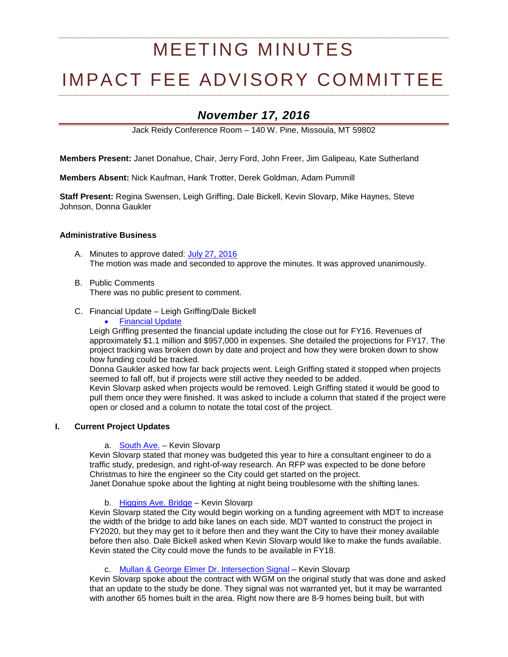# MEETING MINUTES

# IMPACT FEE ADVISORY COMMITTEE

# *November 17, 2016*

Jack Reidy Conference Room – 140 W. Pine, Missoula, MT 59802

**Members Present:** Janet Donahue, Chair, Jerry Ford, John Freer, Jim Galipeau, Kate Sutherland

**Members Absent:** Nick Kaufman, Hank Trotter, Derek Goldman, Adam Pummill

**Staff Present:** Regina Swensen, Leigh Griffing, Dale Bickell, Kevin Slovarp, Mike Haynes, Steve Johnson, Donna Gaukler

#### **Administrative Business**

- A. Minutes to approve dated: [July 27, 2016](http://ci.missoula.mt.us/Archive.aspx?ADID=10529) The motion was made and seconded to approve the minutes. It was approved unanimously.
- B. Public Comments There was no public present to comment.
- C. Financial Update Leigh Griffing/Dale Bickell
	- **[Financial Update](https://www.ci.missoula.mt.us/DocumentCenter/View/37376)**

Leigh Griffing presented the financial update including the close out for FY16. Revenues of approximately \$1.1 million and \$957,000 in expenses. She detailed the projections for FY17. The project tracking was broken down by date and project and how they were broken down to show how funding could be tracked.

Donna Gaukler asked how far back projects went. Leigh Griffing stated it stopped when projects seemed to fall off, but if projects were still active they needed to be added.

Kevin Slovarp asked when projects would be removed. Leigh Griffing stated it would be good to pull them once they were finished. It was asked to include a column that stated if the project were open or closed and a column to notate the total cost of the project.

#### **I. Current Project Updates**

a. [South Ave.](https://www.ci.missoula.mt.us/DocumentCenter/View/33694) – Kevin Slovarp

Kevin Slovarp stated that money was budgeted this year to hire a consultant engineer to do a traffic study, predesign, and right-of-way research. An RFP was expected to be done before Christmas to hire the engineer so the City could get started on the project. Janet Donahue spoke about the lighting at night being troublesome with the shifting lanes.

#### b. [Higgins Ave. Bridge](https://www.ci.missoula.mt.us/DocumentCenter/View/33691) – Kevin Slovarp

Kevin Slovarp stated the City would begin working on a funding agreement with MDT to increase the width of the bridge to add bike lanes on each side. MDT wanted to construct the project in FY2020, but they may get to it before then and they want the City to have their money available before then also. Dale Bickell asked when Kevin Slovarp would like to make the funds available. Kevin stated the City could move the funds to be available in FY18.

#### c. Mullan & [George Elmer Dr. Intersection Signal](https://www.ci.missoula.mt.us/DocumentCenter/View/33724) – Kevin Slovarp

Kevin Slovarp spoke about the contract with WGM on the original study that was done and asked that an update to the study be done. They signal was not warranted yet, but it may be warranted with another 65 homes built in the area. Right now there are 8-9 homes being built, but with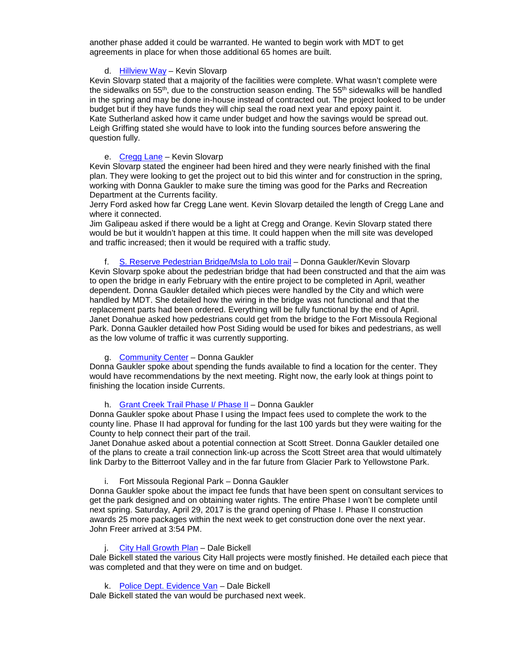another phase added it could be warranted. He wanted to begin work with MDT to get agreements in place for when those additional 65 homes are built.

# d. [Hillview Way](http://www.ci.missoula.mt.us/DocumentCenter/View/22047) – Kevin Slovarp

Kevin Slovarp stated that a majority of the facilities were complete. What wasn't complete were the sidewalks on  $55<sup>th</sup>$ , due to the construction season ending. The  $55<sup>th</sup>$  sidewalks will be handled in the spring and may be done in-house instead of contracted out. The project looked to be under budget but if they have funds they will chip seal the road next year and epoxy paint it. Kate Sutherland asked how it came under budget and how the savings would be spread out. Leigh Griffing stated she would have to look into the funding sources before answering the question fully.

### e. [Cregg Lane](http://www.ci.missoula.mt.us/DocumentCenter/View/22046) – Kevin Slovarp

Kevin Slovarp stated the engineer had been hired and they were nearly finished with the final plan. They were looking to get the project out to bid this winter and for construction in the spring, working with Donna Gaukler to make sure the timing was good for the Parks and Recreation Department at the Currents facility.

Jerry Ford asked how far Cregg Lane went. Kevin Slovarp detailed the length of Cregg Lane and where it connected.

Jim Galipeau asked if there would be a light at Cregg and Orange. Kevin Slovarp stated there would be but it wouldn't happen at this time. It could happen when the mill site was developed and traffic increased; then it would be required with a traffic study.

f. [S. Reserve Pedestrian Bridge/Msla to Lolo trail](https://www.ci.missoula.mt.us/DocumentCenter/View/29305) – Donna Gaukler/Kevin Slovarp Kevin Slovarp spoke about the pedestrian bridge that had been constructed and that the aim was to open the bridge in early February with the entire project to be completed in April, weather dependent. Donna Gaukler detailed which pieces were handled by the City and which were handled by MDT. She detailed how the wiring in the bridge was not functional and that the replacement parts had been ordered. Everything will be fully functional by the end of April. Janet Donahue asked how pedestrians could get from the bridge to the Fort Missoula Regional Park. Donna Gaukler detailed how Post Siding would be used for bikes and pedestrians, as well as the low volume of traffic it was currently supporting.

# g. [Community Center](https://www.ci.missoula.mt.us/DocumentCenter/View/33701) – Donna Gaukler

Donna Gaukler spoke about spending the funds available to find a location for the center. They would have recommendations by the next meeting. Right now, the early look at things point to finishing the location inside Currents.

### h. [Grant Creek Trail Phase I/ Phase II](https://www.ci.missoula.mt.us/DocumentCenter/View/32601) – Donna Gaukler

Donna Gaukler spoke about Phase I using the Impact fees used to complete the work to the county line. Phase II had approval for funding for the last 100 yards but they were waiting for the County to help connect their part of the trail.

Janet Donahue asked about a potential connection at Scott Street. Donna Gaukler detailed one of the plans to create a trail connection link-up across the Scott Street area that would ultimately link Darby to the Bitterroot Valley and in the far future from Glacier Park to Yellowstone Park.

i. Fort Missoula Regional Park – Donna Gaukler

Donna Gaukler spoke about the impact fee funds that have been spent on consultant services to get the park designed and on obtaining water rights. The entire Phase I won't be complete until next spring. Saturday, April 29, 2017 is the grand opening of Phase I. Phase II construction awards 25 more packages within the next week to get construction done over the next year. John Freer arrived at 3:54 PM.

### j. [City Hall Growth Plan](https://www.ci.missoula.mt.us/DocumentCenter/View/33763) – Dale Bickell

Dale Bickell stated the various City Hall projects were mostly finished. He detailed each piece that was completed and that they were on time and on budget.

### k. [Police Dept. Evidence Van](https://www.ci.missoula.mt.us/DocumentCenter/View/35782) – Dale Bickell

Dale Bickell stated the van would be purchased next week.